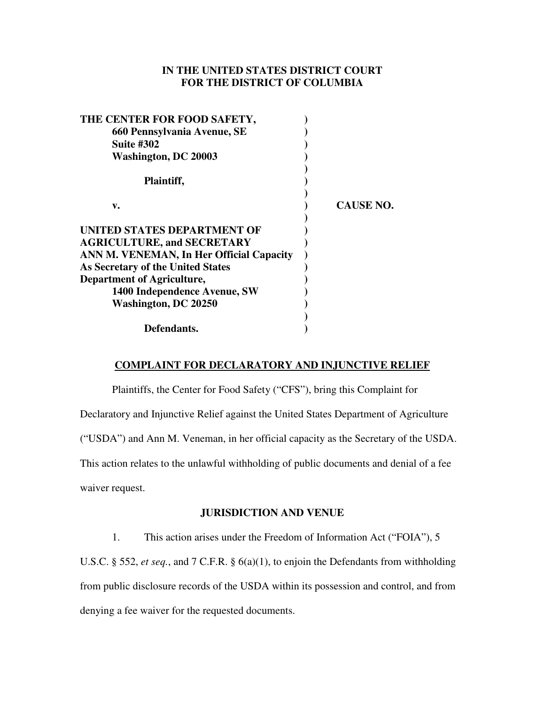# **IN THE UNITED STATES DISTRICT COURT FOR THE DISTRICT OF COLUMBIA**

| <b>CAUSE NO.</b> |
|------------------|
|                  |
|                  |
|                  |
|                  |
|                  |
|                  |
|                  |
|                  |
|                  |
|                  |
|                  |

## **COMPLAINT FOR DECLARATORY AND INJUNCTIVE RELIEF**

Plaintiffs, the Center for Food Safety ("CFS"), bring this Complaint for Declaratory and Injunctive Relief against the United States Department of Agriculture ("USDA") and Ann M. Veneman, in her official capacity as the Secretary of the USDA. This action relates to the unlawful withholding of public documents and denial of a fee waiver request.

## **JURISDICTION AND VENUE**

1. This action arises under the Freedom of Information Act ("FOIA"), 5

U.S.C. § 552, *et seq.*, and 7 C.F.R. § 6(a)(1), to enjoin the Defendants from withholding from public disclosure records of the USDA within its possession and control, and from denying a fee waiver for the requested documents.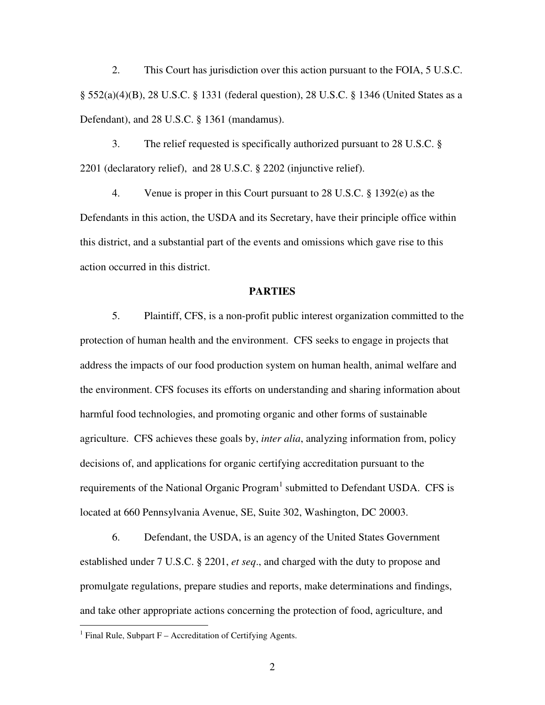2. This Court has jurisdiction over this action pursuant to the FOIA, 5 U.S.C. § 552(a)(4)(B), 28 U.S.C. § 1331 (federal question), 28 U.S.C. § 1346 (United States as a Defendant), and 28 U.S.C. § 1361 (mandamus).

3. The relief requested is specifically authorized pursuant to 28 U.S.C. § 2201 (declaratory relief), and 28 U.S.C. § 2202 (injunctive relief).

4. Venue is proper in this Court pursuant to 28 U.S.C. § 1392(e) as the Defendants in this action, the USDA and its Secretary, have their principle office within this district, and a substantial part of the events and omissions which gave rise to this action occurred in this district.

#### **PARTIES**

5. Plaintiff, CFS, is a non-profit public interest organization committed to the protection of human health and the environment. CFS seeks to engage in projects that address the impacts of our food production system on human health, animal welfare and the environment. CFS focuses its efforts on understanding and sharing information about harmful food technologies, and promoting organic and other forms of sustainable agriculture. CFS achieves these goals by, *inter alia*, analyzing information from, policy decisions of, and applications for organic certifying accreditation pursuant to the requirements of the National Organic Program<sup>1</sup> submitted to Defendant USDA. CFS is located at 660 Pennsylvania Avenue, SE, Suite 302, Washington, DC 20003.

6. Defendant, the USDA, is an agency of the United States Government established under 7 U.S.C. § 2201, *et seq*., and charged with the duty to propose and promulgate regulations, prepare studies and reports, make determinations and findings, and take other appropriate actions concerning the protection of food, agriculture, and

<sup>&</sup>lt;sup>1</sup> Final Rule, Subpart F – Accreditation of Certifying Agents.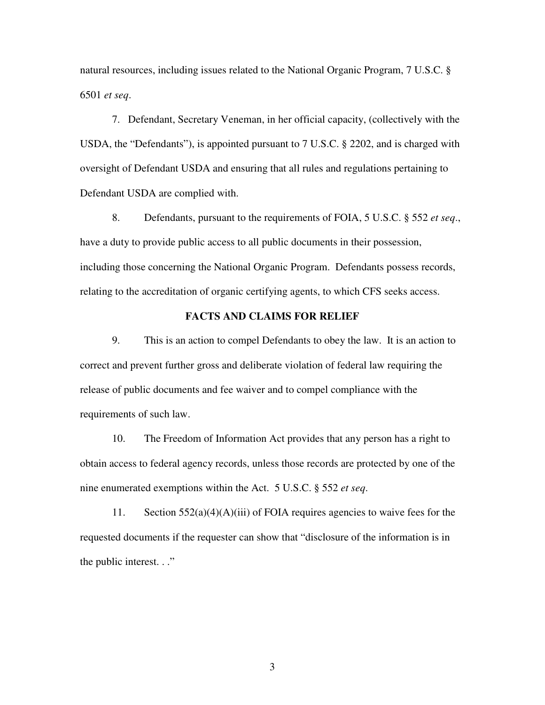natural resources, including issues related to the National Organic Program, 7 U.S.C. § 6501 *et seq*.

7. Defendant, Secretary Veneman, in her official capacity, (collectively with the USDA, the "Defendants"), is appointed pursuant to 7 U.S.C. § 2202, and is charged with oversight of Defendant USDA and ensuring that all rules and regulations pertaining to Defendant USDA are complied with.

8. Defendants, pursuant to the requirements of FOIA, 5 U.S.C. § 552 *et seq*., have a duty to provide public access to all public documents in their possession, including those concerning the National Organic Program. Defendants possess records, relating to the accreditation of organic certifying agents, to which CFS seeks access.

#### **FACTS AND CLAIMS FOR RELIEF**

9. This is an action to compel Defendants to obey the law. It is an action to correct and prevent further gross and deliberate violation of federal law requiring the release of public documents and fee waiver and to compel compliance with the requirements of such law.

10. The Freedom of Information Act provides that any person has a right to obtain access to federal agency records, unless those records are protected by one of the nine enumerated exemptions within the Act. 5 U.S.C. § 552 *et seq*.

11. Section  $552(a)(4)(A)(iii)$  of FOIA requires agencies to waive fees for the requested documents if the requester can show that "disclosure of the information is in the public interest. . ."

3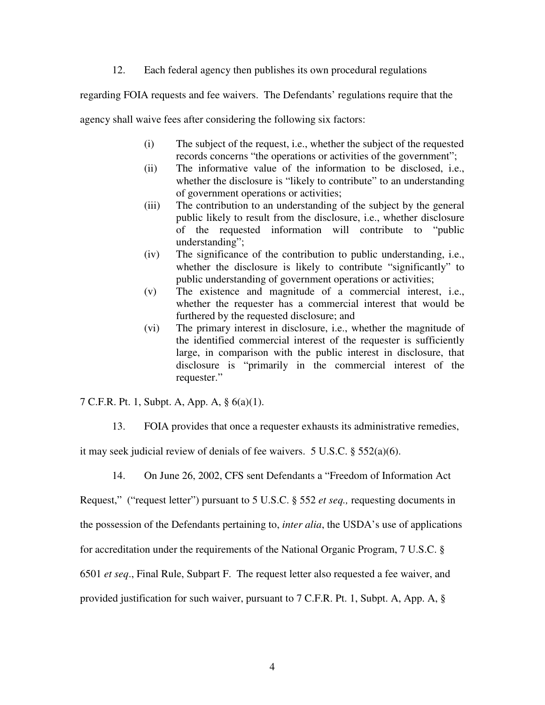12. Each federal agency then publishes its own procedural regulations

regarding FOIA requests and fee waivers. The Defendants' regulations require that the

agency shall waive fees after considering the following six factors:

- (i) The subject of the request, i.e., whether the subject of the requested records concerns "the operations or activities of the government";
- (ii) The informative value of the information to be disclosed, i.e., whether the disclosure is "likely to contribute" to an understanding of government operations or activities;
- (iii) The contribution to an understanding of the subject by the general public likely to result from the disclosure, i.e., whether disclosure of the requested information will contribute to "public understanding";
- (iv) The significance of the contribution to public understanding, i.e., whether the disclosure is likely to contribute "significantly" to public understanding of government operations or activities;
- (v) The existence and magnitude of a commercial interest, i.e., whether the requester has a commercial interest that would be furthered by the requested disclosure; and
- (vi) The primary interest in disclosure, i.e., whether the magnitude of the identified commercial interest of the requester is sufficiently large, in comparison with the public interest in disclosure, that disclosure is "primarily in the commercial interest of the requester."

7 C.F.R. Pt. 1, Subpt. A, App. A, § 6(a)(1).

13. FOIA provides that once a requester exhausts its administrative remedies,

it may seek judicial review of denials of fee waivers. 5 U.S.C. § 552(a)(6).

14. On June 26, 2002, CFS sent Defendants a "Freedom of Information Act

Request," ("request letter") pursuant to 5 U.S.C. § 552 *et seq.,* requesting documents in

the possession of the Defendants pertaining to, *inter alia*, the USDA's use of applications

for accreditation under the requirements of the National Organic Program, 7 U.S.C. §

6501 *et seq*., Final Rule, Subpart F. The request letter also requested a fee waiver, and

provided justification for such waiver, pursuant to 7 C.F.R. Pt. 1, Subpt. A, App. A, §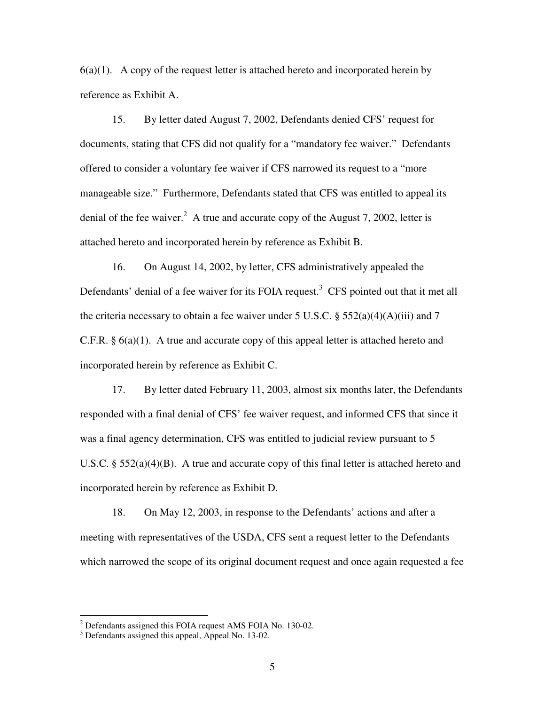$6(a)(1)$ . A copy of the request letter is attached hereto and incorporated herein by reference as Exhibit A.

15. By letter dated August 7, 2002, Defendants denied CFS' request for documents, stating that CFS did not qualify for a "mandatory fee waiver." Defendants offered to consider a voluntary fee waiver if CFS narrowed its request to a "more manageable size." Furthermore, Defendants stated that CFS was entitled to appeal its denial of the fee waiver.<sup>2</sup> A true and accurate copy of the August 7, 2002, letter is attached hereto and incorporated herein by reference as Exhibit B.

16. On August 14, 2002, by letter, CFS administratively appealed the Defendants' denial of a fee waiver for its FOIA request.<sup>3</sup> CFS pointed out that it met all the criteria necessary to obtain a fee waiver under 5 U.S.C.  $\S$  552(a)(4)(A)(iii) and 7 C.F.R. § 6(a)(1). A true and accurate copy of this appeal letter is attached hereto and incorporated herein by reference as Exhibit C.

17. By letter dated February 11, 2003, almost six months later, the Defendants responded with a final denial of CFS' fee waiver request, and informed CFS that since it was a final agency determination, CFS was entitled to judicial review pursuant to 5 U.S.C. §  $552(a)(4)(B)$ . A true and accurate copy of this final letter is attached hereto and incorporated herein by reference as Exhibit D.

18. On May 12, 2003, in response to the Defendants' actions and after a meeting with representatives of the USDA, CFS sent a request letter to the Defendants which narrowed the scope of its original document request and once again requested a fee

 $2$  Defendants assigned this FOIA request AMS FOIA No. 130-02.

<sup>&</sup>lt;sup>3</sup> Defendants assigned this appeal, Appeal No. 13-02.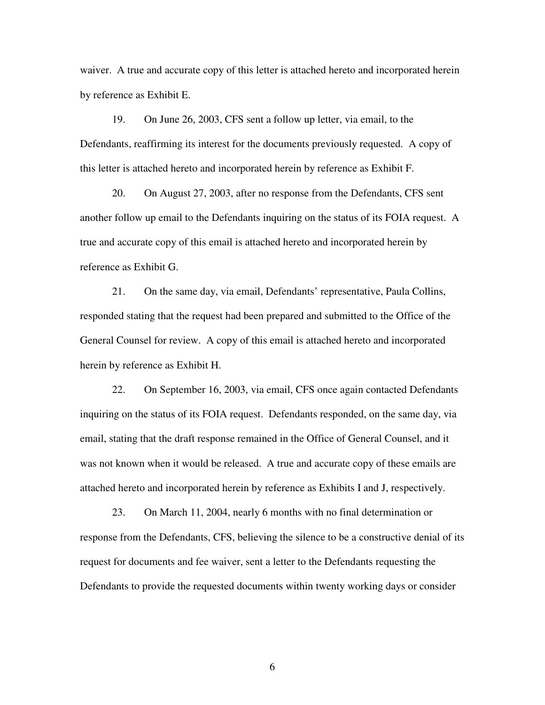waiver. A true and accurate copy of this letter is attached hereto and incorporated herein by reference as Exhibit E.

19. On June 26, 2003, CFS sent a follow up letter, via email, to the Defendants, reaffirming its interest for the documents previously requested. A copy of this letter is attached hereto and incorporated herein by reference as Exhibit F.

20. On August 27, 2003, after no response from the Defendants, CFS sent another follow up email to the Defendants inquiring on the status of its FOIA request. A true and accurate copy of this email is attached hereto and incorporated herein by reference as Exhibit G.

21. On the same day, via email, Defendants' representative, Paula Collins, responded stating that the request had been prepared and submitted to the Office of the General Counsel for review. A copy of this email is attached hereto and incorporated herein by reference as Exhibit H.

22. On September 16, 2003, via email, CFS once again contacted Defendants inquiring on the status of its FOIA request. Defendants responded, on the same day, via email, stating that the draft response remained in the Office of General Counsel, and it was not known when it would be released. A true and accurate copy of these emails are attached hereto and incorporated herein by reference as Exhibits I and J, respectively.

23. On March 11, 2004, nearly 6 months with no final determination or response from the Defendants, CFS, believing the silence to be a constructive denial of its request for documents and fee waiver, sent a letter to the Defendants requesting the Defendants to provide the requested documents within twenty working days or consider

6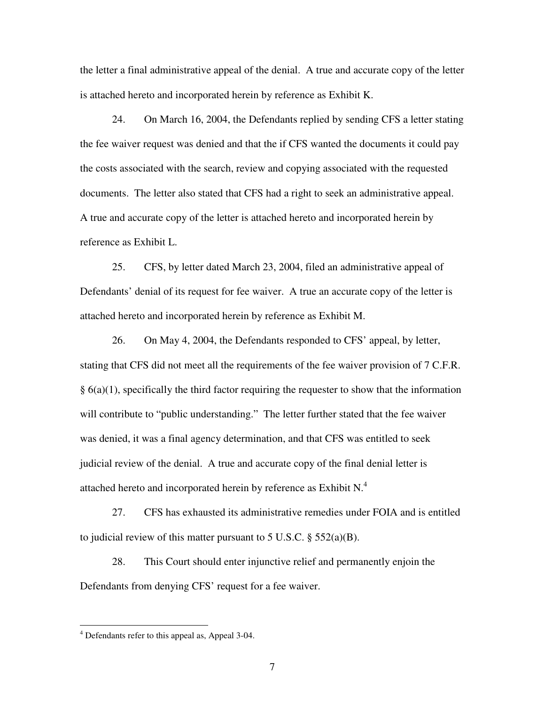the letter a final administrative appeal of the denial. A true and accurate copy of the letter is attached hereto and incorporated herein by reference as Exhibit K.

24. On March 16, 2004, the Defendants replied by sending CFS a letter stating the fee waiver request was denied and that the if CFS wanted the documents it could pay the costs associated with the search, review and copying associated with the requested documents. The letter also stated that CFS had a right to seek an administrative appeal. A true and accurate copy of the letter is attached hereto and incorporated herein by reference as Exhibit L.

25. CFS, by letter dated March 23, 2004, filed an administrative appeal of Defendants' denial of its request for fee waiver. A true an accurate copy of the letter is attached hereto and incorporated herein by reference as Exhibit M.

26. On May 4, 2004, the Defendants responded to CFS' appeal, by letter, stating that CFS did not meet all the requirements of the fee waiver provision of 7 C.F.R.  $§$  6(a)(1), specifically the third factor requiring the requester to show that the information will contribute to "public understanding." The letter further stated that the fee waiver was denied, it was a final agency determination, and that CFS was entitled to seek judicial review of the denial. A true and accurate copy of the final denial letter is attached hereto and incorporated herein by reference as Exhibit N.<sup>4</sup>

27. CFS has exhausted its administrative remedies under FOIA and is entitled to judicial review of this matter pursuant to 5 U.S.C.  $\S 552(a)(B)$ .

28. This Court should enter injunctive relief and permanently enjoin the Defendants from denying CFS' request for a fee waiver.

<sup>&</sup>lt;sup>4</sup> Defendants refer to this appeal as, Appeal 3-04.